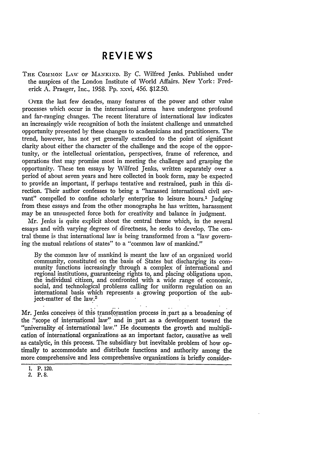## **REVIEWS**

THE COMMON LAW OF MANKIND. By C. Wilfred Jenks. Published under the auspices of the London Institute of World Affairs. New York: Frederick A. Praeger, Inc., 1958. Pp. xxvi, 456. \$12.50.

OVER the last few decades, many features of the power and other value processes which occur in the international arena have undergone profound and far-ranging changes. The recent literature of international law indicates an increasingly wide recognition of both the insistent challenge and unmatched opportunity presented by these changes to academicians and practitioners. The trend, however, has not yet generally extended to the point of significant clarity about either the character of the challenge and the scope of the opportunity, or the intellectual orientation, perspectives, frame of reference, and operations that may promise most in meeting the challenge and grasping the opportunity. These ten essays by Wilfred Jenks, written separately over a period of about seven years and here collected in book form, may be expected to provide an important, if perhaps tentative and restrained, push in this direction. Their author confesses to being a "harassed international civil servant" compelled to confine scholarly enterprise to leisure hours.<sup>1</sup> Judging from these essays and from the other monographs he has written, harassment may be an unsuspected force both for creativity and balance in judgment.

Mr. Jenks is quite explicit about the central theme which, in the several essays and with varying degrees of directness, he seeks to develop. The central theme is that international law is being transformed from a "law governing the mutual relations of states" to a "common law of mankind."

By the common law of mankind is meant the law of an organized world community, constituted on the basis of States but discharging its community functions increasingly through a complex of international and regional institutions, guaranteeing rights to, and placing obligations upon. the individual citizen, and confronted with a wide range of economic, social, and technological problems calling for uniform regulation on an international basis which represents **a.** growing proportion of the subject-matter of the law.2

Mr. Jenks conceives **&f** this transformation process in .part **as** a broadening of the "scope of international law" and in part as a development toward the "universality **of** international law." He documents the growth aind multiplication of international organizations -as an important factor, causative as well as catalytic, in this process. The subsidiary but inevitable problem of how optimally to accommodate and distribute functions and authority among the more comprehensive and less comprehensive organizations is briefly consider-

2. P. **8.**

<sup>1.</sup> P. 120.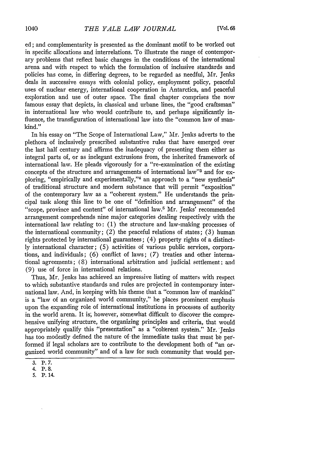ed; and complementarity is presented as the dominant motif to be worked out in specific allocations and interrelations. To illustrate the range of contemporary problems that reflect basic changes in the conditions of the international arena and with respect to which the formulation of inclusive standards and policies has come, in differing degrees, to be regarded as needful, Mr. Jenks deals in successive essays with colonial policy, employment policy, peaceful uses of nuclear energy, international cooperation in Antarctica, and peaceful exploration and use of outer space. The final chapter comprises the now famous essay that depicts, in classical and urbane lines, the "good craftsman" in international law who would contribute to, and perhaps significantly influence, the transfiguration of international law into the "common law of mankind."

In his essay on "The Scope of International Law," Mr. Jenks adverts to the plethora of inclusively prescribed substantive rules that have emerged over the last half century and affirms the inadequacy of presenting them either as integral parts of, or as inelegant extrusions from, the inherited framework of international law. He pleads vigorously for a "re-examination of the existing concepts of the structure and arrangements of international law"<sup>3</sup> and for exploring, "empirically and experimentally,"<sup>4</sup> an approach to a "new synthesis" of traditional structure and modern substance that will permit "exposition" of the contemporary law as a "coherent system." He understands the principal task along this line to be one of "definition and arrangement" of the "scope, province and content" of international law.5 Mr. Jenks' recommended arrangement comprehends nine major categories dealing respectively with the international law relating to: (1) the structure and law-making processes of the international community; (2) the peaceful relations of states; (3) human rights protected **by** international guarantees; (4) property rights of a distinct**ly** international character; **(5)** activities of various public services, corporations, and individuals; (6) conflict of laws; (7) treaties and other international agreements; (8) international arbitration and judicial settlement; and (9) use of force in international relations.

Thus, Mr. Jenks has achieved an impressive listing of matters with respect to which substantive standards and rules are projected in contemporary international law. And, in keeping with his theme that a "common law of mankind" is a "law of an organized world community," he places prominent emphasis upon the expanding role of international institutions in processes of authority in the world arena. It is; however, somewhat difficult to discover the comprehensive unifying structure, the organizing principles and criteria, that would appropriately qualify this "presentation" as a "coherent system." Mr. Jenks has too modestly defined the nature of the immediate tasks that must be performed if legal scholars are to contribute to the development both of "an organized world community" and of a law for such community that would per-

**<sup>3.</sup>** P. **7.**

<sup>4.</sup> P. **8.**

<sup>5.</sup> P. 14.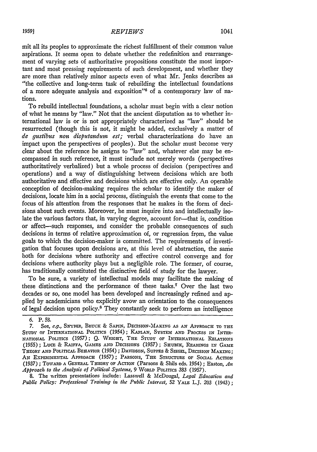## *REVIEWS* **19591** 1041

mit all its peoples to approximate the richest fulfillment of their common value aspirations. It seems open to debate whether the redefinition and rearrangement of varying sets of authoritative propositions constitute the most important and most pressing requirements of such development, and whether they are more than relatively minor aspects even of what Mr. Jenks describes as "the collective and long-term task of rebuilding the intellectual foundations of a more adequate analysis and exposition"<sup>6</sup> of a contemporary law of nations.

To rebuild intellectual foundations, a scholar must begin with a clear notion of what he means by "law." Not that the ancient disputation as to whether international law is or is not appropriately characterized as "law" should be resurrected (though this is not, it might be added, exclusively a matter of *de gustibus non disputandum est;* verbal characterizations do have an impact upon the perspectives of peoples). But the scholar must become very clear about the reference he assigns to "law" and, whatever else may be encompassed in such reference, it must include not merely words (perspectives authoritatively verbalized) but a whole process of decision (perspectives and operations) and a way of distinguishing between decisions which are both authoritative and effective and decisions which are effective only. An operable conception of decision-making requires the scholar to identify the maker of decisions, locate him in a social process, distinguish the events that come to the focus of his attention from the responses that he makes in the form of decisions about such events. Moreover, he must inquire into and intellectually isolate the various factors that, in varying degree, account for-that is, condition or affect-such responses, and consider the probable consequences of such decisions in terms of relative approximation of, or regression from, the value goals to which the decision-maker is committed. The requirements of investigation that focuses upon decisions are, at this level of abstraction, the same both for decisions where authority and effective control converge and for decisions where authority plays but a negligible role. The former, of course, has traditionally constituted the distinctive field of study for the lawyer.

To be sure, a variety of intellectual models may facilitate the making of these distinctions and the performance of these tasks.7 Over the last two decades or so, one model has been developed and increasingly refined and applied **by** academicians who explicitly avow an orientation to the consequences of legal decision upon policy.8 They constantly seek to perform an intelligence

**8.** The written **presentations** include: Lasswell & McDougal, *Legal Education and Public Policy: Professional Training in the Public Interest,* **52** YALE L.J. **203** (1943);

*<sup>6.</sup>* P. 58.

*<sup>7.</sup>* See, *e.g.,* SNYDER, BRUCx & SAPIN, DEcISION-MAKING **AS AN** APPROACH TO **THE** STUDY OF INTERNATIONAL POLITICS (1954); KAPLAN, SYSTEM AND PROCESS IN INTER-**NATIONAL** POLITICS **(1957);** *Q.* **WRIGHT, THE STUDY OF INTERNATIONAL RELATIONS** (1955); LUCE & RAIFFA, **GAMES AND DEcrsioNs** (1957); **SHumIK, READINGS IN GAME** THEORY **AND** POLITICAL BEHAVIOR (1954); DAVIDSON, **SUPPES** & **SIEGEL, DECISION** MAKING; AN EXPERIMENTAL APPROACH (1957); PARSONS, THE STRUCTURE OF SOCIAL ACTION (1937) *;* **TOWARD A GENERAL THEORY** OF **AcTION** (Parsons & Shils eds. 1954) ; Easton, *An Approach to the Analysis of Political Systems,* **9** WoRLD POLITICS 383 (1957).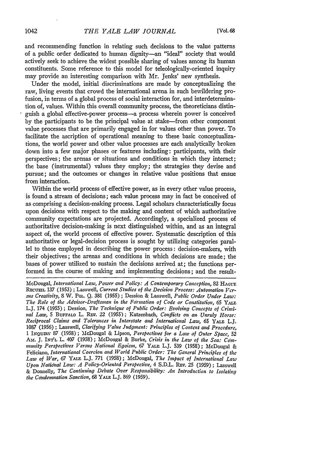and recommending function in relating such decisions to the value patterns of a public order dedicated to human dignity-an "ideal" society that would actively seek to achieve the widest possible sharing of values among its human constituents. Some reference to this model for teleologically-oriented inquiry may provide an interesting comparison with Mr. Jenks' new synthesis.

Under the model, initial discriminations are made by conceptualizing the raw, living events that crowd the international arena in such bewildering profusion, in terms of a global process of social interaction for, and interdetermination of, values. Within this overall community process, the theoreticians distinguish a global effective-power process-a process wherein power is conceived by the participants to be the principal value at stake-from other component value processes that are primarily engaged in for values other than power. To facilitate the ascription of operational meaning to these basic conceptualizations, the world power and other value processes are each analytically broken down into a few major phases or features including: participants, with their perspectives; the arenas or situations and conditions in which they interact; the base (instrumental) values they employ; the strategies they devise and pursue; and the outcomes or changes in relative value positions that ensue from interaction.

Within the world process of effective power, as in every other value process, is found a stream of decisions; each value process may in fact be conceived of as comprising a decision-making process. Legal scholars characteristically focus upon decisions with respect to the making and content of which authoritative community expectations are projected. Accordingly, a specialized process of authoritative decision-making is next distinguished within, and as an integral aspect of, the world process of effective power. Systematic description of this authoritative or legal-decision process is sought by utilizing categories parallel to those employed in describing the power process: decision-makers, with their objectives; the arenas and conditions in which decisions are made; the bases of power utilized to sustain the decisions arrived at; the functions performed in the course of making and implementing decisions; and the result-

McDougal, *International Law, Power and Policy: A Contemporary Conception,* 82 **HAGUtE** RECUEL 137 (1953); Lasswell, *Current Studies of the Decision Process: Automation Versus Creativity,* 8 W. PoL. Q. 381 (1955) **;** Dession & Lasswell, *Public Order Under Law: The Role of the Advisor-Draftsman in the Fonation of Code or Constitution,* 65 *YA.E* L.J. 174 (1955) ; Dession, *The Technique of Public Order: Evolving Concepts of Crini*nal Law, 5 BUFFALO L. REV. 22 (1955); Katzenbach, *Conflicts on an Unruly Horse*: *Reciprocal Claims and Tolerances in Interstate and International Law, 65* YALE L.J. 1087 (1956) ; Lasswell, *Clarifying Value Judgment: Principles of Content and Procedure,* 1 **INQuIRY** 87 (1958) ; McDougal & Lipson, *Perspectives for a Law of Outer Space,* 52 AM. J. INTL L. 407 (1958); McDougal & Burke, *Crisis in the Law of the Sea: Comnuity Perspectives Versus National Egoism, 67* **YAIE** L.J. 539 (1958); McDougal & Feliciano, *International Coercion and World Public Order: The General Principles of the Law of War, 67* YALM L.J. 771 (1958); McDougal, *The Impact of International Law Upon National Law: A Policy-Oriented Perspective, 4 S.D.L. REv. 25 (1959)*; Lasswell & Donnelly, *The Continuing Debate Over Responsibility: An Introduction to Isolating the Cdndernation Sanction, 68* YALE L.J. 869 (1959).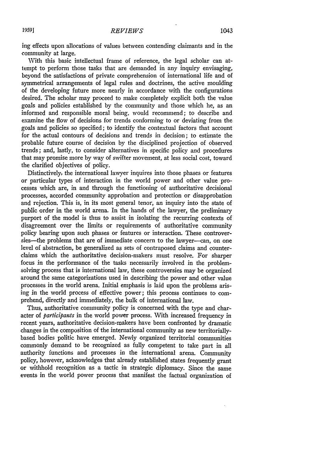ing effects upon allocations of values between contending claimants and in the community at large.

With this basic intellectual frame of reference, the legal scholar can attempt to perform those tasks that are demanded in any inquiry envisaging, beyond the satisfactions of private comprehension of international life and of symmetrical arrangements of legal rules and doctrines, the active moulding of the developing future more nearly in accordance with the configurations desired. The scholar may proceed to make completely explicit both the value goals and policies established by the community and those which he, as an informed and responsible moral being, would recommend; to describe and examine the flow of decisions for trends conforming to or deviating from the goals and policies so specified; to identify the contextual factors that account for the actual contours of decisions and trends in decision; to estimate the probable future course of decision by the disciplined projection of observed trends; and, lastly, to consider alternatives in specific policy and procedures that may promise more by way of swifter movement, at less social cost, toward the clarified objectives of policy.

Distinctively, the international lawyer inquires into those phases or features or particular types of interaction in the world power and other value processes which are, in and through the functioning of authoritative decisional processes, accorded community approbation and protection or disapprobation and rejection. This is, in its most general tenor, an inquiry into the state of public order in the world arena. In the hands of the lawyer, the preliminary purport of the model is thus to assist in isolating the recurring contexts of disagreement over the limits or requirements of authoritative community policy bearing upon such phases or features or interaction. These controversies-the problems that are of immediate concern to the lawyer--can, on one level of abstraction, be generalized as sets of contraposed claims and counterclaims which the authoritative decision-makers must resolve. For sharper focus in the performance of the tasks necessarily involved in the problemsolving process that is international law, these controversies may be organized around the same categorizations used in describing the power and other value processes in the world arena. Initial emphasis is laid upon the problems aris**ing** in the world process of effective power; this process continues to comprehend, directly and immediately, the bulk of international law.

Thus, authoritative community policy is concerned with the type and character of *participants* in the world power process. With increased frequency in recent years, authoritative decision-makers have been confronted **by** dramatic changes in the composition of the international community as new territoriallybased bodies politic have emerged. Newly organized territorial communities commonly demand to be recognized as fully competent to take part in all authority functions and processes in the international arena. Community policy, however, acknowledges that already established states frequently grant or withhold recognition as a tactic in strategic diplomacy. Since the same events in the world power process that manifest the factual organization of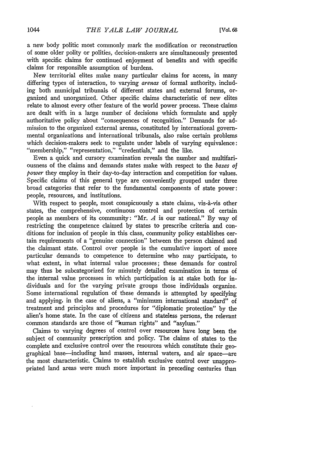a new body politic most commonly mark the modification or reconstruction of some older polity or polities, decision-makers are simultaneously presented with specific claims for continued enjoyment of benefits and with specific claims for responsible assumption of burdens.

New territorial elites make many particular claims for access, in many differing types of interaction, to varying *arenas* of formal authority, including both municipal tribunals of different states and external forums, organized and unorganized. Other specific claims characteristic of new elites relate to almost every other feature of the world power process. These claims are dealt with in a large number of decisions which formulate and apply authoritative policy about "consequences of recognition." Demands for admission to the organized external arenas, constituted **by** international governmental organizations and international tribunals, also raise certain problems which decision-makers seek to regulate under labels of varying equivalence: "membership," "representation," "credentials," and the like.

Even a quick and cursory examination reveals the number and multifariousness of the claims and demands states make with respect to the *bases of power* they employ in their day-to-day interaction and competition for values. Specific claims of this general type are conveniently grouped under three broad categories that refer to the fundamental components of state power: people, resources, and institutions.

With respect to people, most conspicuously a state claims, vis-à-vis other states, the comprehensive, continuous control and protection of certain people as members of its community: "Mr. *A* is our national." **By** way of restricting the competence claimed **by** states to prescribe criteria and conditions for inclusion of people in this class, community policy establishes certain requirements of a "genuine connection" between the person claimed and the claimant state. Control over people is the cumulative import of more particular demands to competence to determine who may participate, to what extent, in what internal value processes; these demands for control may thus be subcategorized for minutely detailed examination in terms of the internal value processes in which participation is at stake both for individuals and for the varying private groups those individuals organize. Some international regulation of these demands is attempted **by** specifying and applying, in the case of aliens, a "minimum international standard" of treatment and principles and procedures for "diplomatic protection" by the alien's home state. In the case of citizens and stateless persons, the relevant common standards **are** those of "human rights" and "asylum."

Claims to varying degrees of control over resources have long been the subject of community prescription and policy. The claims of states to the complete and exclusive control over the resources which constitute their geographical base-including land masses, internal waters, and air space-are the most characteristic. Claims to establish exclusive control over unappropriated land areas were much more important in preceding centuries than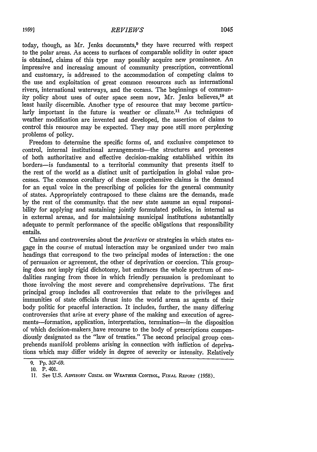today, though, as Mr. Jenks documents,<sup>9</sup> they have recurred with respect to the polar areas. As access to surfaces of comparable solidity in outer space is obtained, claims of this type may possibly acquire new prominence. An impressive and increasing amount of community prescription, conventional and customary, is addressed to the accommodation of competing claims to the use and exploitation of great common resources such as international rivers, international waterways, and the oceans. The beginnings of community policy about uses of outer space seem now, Mr. Jenks believes,<sup>10</sup> at least hazily discernible. Another type of resource that may become particularly important in the future is weather or climate.<sup>11</sup> As techniques of weather modification are invented and developed, the assertion of claims to control this resource may be expected. They may pose still more perplexing problems of policy.

Freedom to determine the specific forms of, and exclusive competence to control, internal institutional arrangements—the structures and processes of both authoritative and effective decision-making established within its borders-is fundamental to a territorial community that presents itself to the rest of the world as a distinct unit of participation in global value processes. The common corollary of these comprehensive claims is the demand for an equal voice in the prescribing of policies for the general community of states. Appropriately contraposed to these claims are the demands, made **by** the rest of the community, that the new state assume an equal responsibility for applying and sustaining jointly formulated policies, in internal as in external arenas, and for maintaining municipal institutions substantially adequate to permit performance of the specific obligations that responsibility entails.

Claims and controversies about the *practices* or strategies in which states engage in the course of mutual interaction may be organized under two main headings that correspond to the two principal modes of interaction: the one of persuasion or agreement, the other of deprivation or coercion. This grouping does not imply rigid dichotomy, but embraces the whole spectrum of modalities ranging from those in which friendly persuasion is predominant to those involving the most severe and comprehensive deprivations. The first principal group includes all controversies that relate to the privileges and immunities of state officials thrust into the world arena as agents of their body politic for peaceful interaction. It includes, further, the many differing controversies that arise at every phase of the making and execution of agreements-formation, application, interpretation, termination-in the disposition of which decision-makers have recourse to the body of prescriptions compendiously designated as the "law of treaties." The second principal group comprehends manifold problems arising in connection with infliction of deprivations which may differ widely in degree of severity or intensity. Relatively

<sup>9.</sup> Pp. 367-69.

**<sup>10.</sup>** P. 401.

<sup>11.</sup> See U.S. ADVISORY COMM. ON WEATHER CONTROL, FINAL REPORT (1958).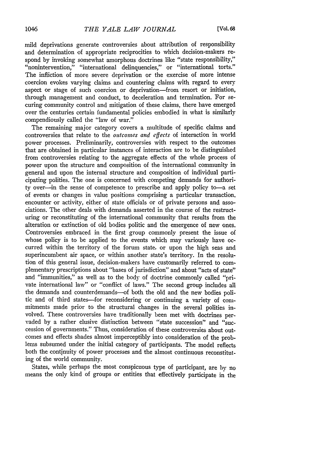mild deprivations generate controversies about attribution of responsibility and determination of appropriate reciprocities to which decision-makers respond by invoking somewhat amorphous doctrines like "state responsibility," "nonintervention," "international delinquencies," or "international torts." The infliction of more severe deprivation or the exercise of more intense coercion evokes varying claims and countering claims with regard to every aspect or stage of such coercion or deprivation-from resort or initiation, through management and conduct, to deceleration and termination. For securing community control and mitigation of these claims, there have emerged over the centuries certain fundamental policies embodied in what is similarly compendiously called the "law of war."

The remaining major category covers a multitude of specific claims and controversies that relate to the *outcomes and effects* of interaction in world power processes. Preliminarily, controversies with respect to the outcomes that are obtained in particular instances of interaction are to be distinguished from controversies relating to the aggregate effects of the whole process of power upon the structure and composition of the international community in general and upon the internal structure and composition of individual participating polities. The one is concerned with competing demands for authority over-in the sense of competence to prescribe and apply policy to-a set of events or changes in value positions comprising a particular transaction, encounter or activity, either of state officials or of private persons and associations. The other deals with demands asserted in the course of the restructuring or reconstituting of the international community that results from the alteration or extinction of old bodies politic and the emergence of new ones. Controversies embraced in the first group commonly present the issue of whose policy is to be applied to the events which may variously have occurred within the territory of the forum state, or upon the high seas and superincumbent air space, or within another state's territory. In the resolution of this general issue, decision-makers have customarily referred to complementary prescriptions about "bases of jurisdiction" and about *"acts* of state" and "immunities," as well as to the body of doctrine commonly called "private international law" or "conflict of laws." The second group includes all the demands and counterdemands-of both the old and the new bodies politic and of third states-for reconsidering or continuing a variety of commitments made prior to the structural changes in the several polities involved. These controversies have traditionally been met with doctrines pervaded by a rather elusive distinction between "state succession" and "succession of governments." Thus, consideration of these controversies about outcomes and effects shades almost imperceptibly into consideration of the problems subsumed under the initial category of participants. The model reflects both the continuity of power processes and the almost continuous reconstituting of the world community.

States, while perhaps the most conspicuous type of participant, are **by** no means the only kind of groups or entities that effectively participate in the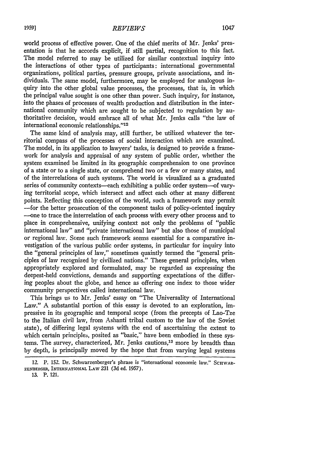world process of effective power. One of the chief merits of Mr. Jenks' presentation is that he accords explicit, if still partial, recognition to this fact. The model referred to may be utilized for similar contextual inquiry into the interactions of other types of participants: international governmental organizations, political parties, pressure groups, private associations, and individuals. The same model, furthermore, may be employed for analogous inquiry into the other global value processes, the processes, that is, in which the principal value sought is one other than power. Such inquiry, for instance, into the phases of processes of wealth production and distribution in the international community which are sought to be subjected to regulation by authoritative decision, would embrace all of what Mr. Jenks calls "the law of international economic relationships."<sup>12</sup>

The same kind of analysis may, still further, be utilized whatever the territorial compass of the processes of social interaction which are examined. The model, in its application to lawyers' tasks, is designed to provide a framework for analysis and appraisal of any system of public order, whether the system examined be limited in its geographic comprehension to one province of a state or to a single state, or comprehend two or a few or many states, and of the interrelations of such systems. The world is visualized as a graduated series of community contexts-each exhibiting a public order system--of varying territorial scope, which intersect and affect each other at many different points. Reflecting this conception of the world, such a framework may permit -for the better prosecution of the component tasks of policy-oriented inquiry -- one to trace the interrelation of each process with every other process and to place in comprehensive, unifying context not only the problems of "public international law" and "private international law" but also those of municipal or regional law. Some such framework seems essential for a comparative investigation of the various public order systems, in particular for inquiry into the "general principles of law," sometimes quaintly termed the "general principles of law recognized by civilized nations." These general principles, when appropriately explored and formulated, may be regarded as expressing the deepest-held convictions, demands and supporting expectations of the differing peoples about the globe, and hence as offering one index to those wider community perspectives called international law.

This brings us to Mr. Jenks' essay on "The Universality of International Law." **A** substantial portion of this essay is devoted to an exploration, impressive in its geographic and temporal scope (from the precepts of Lao-Tze to the Italian civil law, from Ashanti tribal custom to the law of the Soviet state), of differing legal systems with the end of ascertaining the extent to which certain principles, posited as "basic," have been embodied in these systems. The survey, characterized, Mr. Jenks cautions,13 more by breadth than by depth, is principally moved by the hope that from varying legal systems

<sup>12.</sup> P. 152. Dr. Schwarzenberger's phrase is "international economic law." SCHWAR-ZENBERGER, **INTERNATIONAL** LAW **231** (3d ed. **1957).**

<sup>13.</sup> P. 121.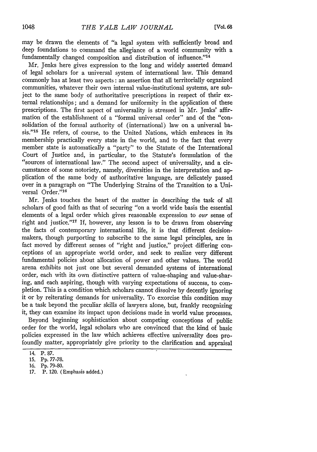may be drawn the elements of "a legal system with sufficiently broad and deep foundations to command the allegiance of a world community with a fundamentally changed composition and distribution of influence."14

Mr. Jenks here gives expression to the long and widely asserted demand of legal scholars for a universal system of international law. This demand commonly has at least two aspects: an assertion that all territorially organized communities, whatever their own internal value-institutional systems, are subject to the same body of authoritative prescriptions in respect of their external relationships; and a demand for uniformity in the application of these prescriptions. The first aspect of universality is stressed in Mr. Jenks' affirmation of the establishment of a "formal universal order" and of the "consolidation of the formal authority of (international) law on a universal basis."<sup>15</sup> He refers, of course, to the United Nations, which embraces in its membership practically every state in the world, and to the fact that every member state is automatically a "party" to the Statute of the International Court of Justice and, in particular, to the Statute's formulation of the "sources of international law." The second aspect of universality, and a circumstance of some notoriety, namely, diversities in the interpretation and application of the same body of authoritative language, are delicately passed over in a paragraph on "The Underlying Strains of the Transition to a Universal Order."<sup>16</sup>

Mr. Jenks touches the heart of the matter in describing the task of all scholars of good faith as that of securing "on a world wide basis the essential elements of a legal order which gives reasonable expression to our sense of right and justice."<sup>17</sup> If, however, any lesson is to be drawn from observing the facts of contemporary international life, it is that different decisionmakers, though purporting to subscribe to the same legal principles, are in fact moved by different senses of "right and justice," project differing conceptions of an appropriate world order, and seek to realize very different fundamental policies about allocation of power and other values. The world arena exhibits not just one but several demanded systems of international order, each with its own distinctive pattern of value-shaping and value-sharing, and each aspiring, though with varying expectations of success, to completion. This is a condition which scholars cannot dissolve by decently ignoring it or by reiterating demands for universality. To exorcise this condition may be a task beyond the peculiar skills of lawyers alone, but, frankly recognizing it, they can examine its impact upon decisions made in world value processes.

Beyond beginning sophistication about competing conceptions of public order for the world, legal scholars who are convinced that the kind of basic policies expressed in the law which achieves effective universality does profoundly matter, appropriately give priority to the clarification and appraisal

<sup>14.</sup> P. 87.

<sup>15.</sup> Pp. 77-78.

<sup>16.</sup> Pp. 79-80.

<sup>17.</sup> P. 120. (Emphasis added.)